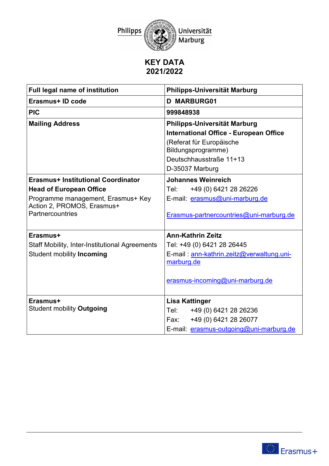

## **KEY DATA 2021/2022**

| <b>Full legal name of institution</b>                 | Philipps-Universität Marburg                   |
|-------------------------------------------------------|------------------------------------------------|
| Erasmus+ ID code                                      | <b>D MARBURG01</b>                             |
| <b>PIC</b>                                            | 999848938                                      |
| <b>Mailing Address</b>                                | Philipps-Universität Marburg                   |
|                                                       | <b>International Office - European Office</b>  |
|                                                       | (Referat für Europäische<br>Bildungsprogramme) |
|                                                       | Deutschhausstraße 11+13                        |
|                                                       | D-35037 Marburg                                |
| Erasmus+ Institutional Coordinator                    | <b>Johannes Weinreich</b>                      |
| <b>Head of European Office</b>                        | Tel:<br>+49 (0) 6421 28 26226                  |
| Programme management, Erasmus+ Key                    | E-mail: erasmus@uni-marburg.de                 |
| Action 2, PROMOS, Erasmus+<br>Partnercountries        | Erasmus-partnercountries@uni-marburg.de        |
| Erasmus+                                              | <b>Ann-Kathrin Zeitz</b>                       |
| <b>Staff Mobility, Inter-Institutional Agreements</b> | Tel: +49 (0) 6421 28 26445                     |
| <b>Student mobility Incoming</b>                      | E-mail: ann-kathrin.zeitz@verwaltung.uni-      |
|                                                       | marburg.de                                     |
|                                                       | erasmus-incoming@uni-marburg.de                |
| Erasmus+                                              | <b>Lisa Kattinger</b>                          |
| <b>Student mobility Outgoing</b>                      | +49 (0) 6421 28 26236<br>Tel:                  |
|                                                       | +49 (0) 6421 28 26077<br>Fax:                  |
|                                                       | E-mail: erasmus-outgoing@uni-marburg.de        |

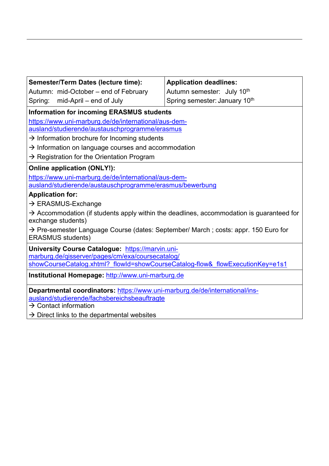| Spring: mid-April – end of July                                                                                            | Spring semester: January 10th |  |  |
|----------------------------------------------------------------------------------------------------------------------------|-------------------------------|--|--|
| <b>Information for incoming ERASMUS students</b>                                                                           |                               |  |  |
| https://www.uni-marburg.de/de/international/aus-dem-                                                                       |                               |  |  |
| ausland/studierende/austauschprogramme/erasmus                                                                             |                               |  |  |
| $\rightarrow$ Information brochure for Incoming students                                                                   |                               |  |  |
| $\rightarrow$ Information on language courses and accommodation                                                            |                               |  |  |
| $\rightarrow$ Registration for the Orientation Program                                                                     |                               |  |  |
| <b>Online application (ONLY!):</b>                                                                                         |                               |  |  |
| https://www.uni-marburg.de/de/international/aus-dem-                                                                       |                               |  |  |
| ausland/studierende/austauschprogramme/erasmus/bewerbung                                                                   |                               |  |  |
| <b>Application for:</b>                                                                                                    |                               |  |  |
| $\rightarrow$ ERASMUS-Exchange                                                                                             |                               |  |  |
| $\rightarrow$ Accommodation (if students apply within the deadlines, accommodation is guaranteed for<br>exchange students) |                               |  |  |
| → Pre-semester Language Course (dates: September/ March ; costs: appr. 150 Euro for<br><b>ERASMUS</b> students)            |                               |  |  |
| University Course Catalogue: https://marvin.uni-                                                                           |                               |  |  |
| marburg.de/qisserver/pages/cm/exa/coursecatalog/                                                                           |                               |  |  |
| showCourseCatalog.xhtml? flowId=showCourseCatalog-flow& flowExecutionKey=e1s1                                              |                               |  |  |
| Institutional Homepage: http://www.uni-marburg.de                                                                          |                               |  |  |
| Departmental coordinators: https://www.uni-marburg.de/de/international/ins-                                                |                               |  |  |
| ausland/studierende/fachsbereichsbeauftragte                                                                               |                               |  |  |
| $\rightarrow$ Contact information                                                                                          |                               |  |  |
| $\rightarrow$ Direct links to the departmental websites                                                                    |                               |  |  |
|                                                                                                                            |                               |  |  |

**Application deadlines:**  Autumn semester: July 10<sup>th</sup>

**Semester/Term Dates (lecture time):**  Autumn: mid-October – end of February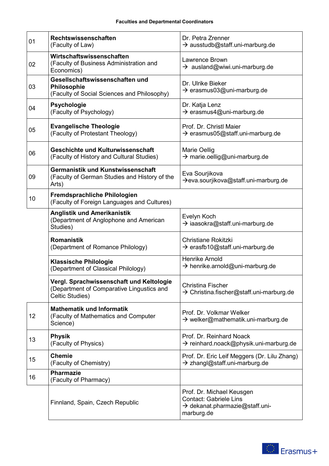| 01 | Rechtswissenschaften<br>(Faculty of Law)                                                                 | Dr. Petra Zrenner<br>$\rightarrow$ ausstudb@staff.uni-marburg.de                                                       |
|----|----------------------------------------------------------------------------------------------------------|------------------------------------------------------------------------------------------------------------------------|
| 02 | Wirtschaftswissenschaften<br>(Faculty of Business Administration and<br>Economics)                       | Lawrence Brown<br>$\rightarrow$ ausland@wiwi.uni-marburg.de                                                            |
| 03 | Gesellschaftswissenschaften und<br>Philosophie<br>(Faculty of Social Sciences and Philosophy)            | Dr. Ulrike Bieker<br>$\rightarrow$ erasmus03@uni-marburg.de                                                            |
| 04 | <b>Psychologie</b><br>(Faculty of Psychology)                                                            | Dr. Katja Lenz<br>$\rightarrow$ erasmus4@uni-marburg.de                                                                |
| 05 | <b>Evangelische Theologie</b><br>(Faculty of Protestant Theology)                                        | Prof. Dr. Christl Maier<br>$\rightarrow$ erasmus05@staff.uni-marburg.de                                                |
| 06 | Geschichte und Kulturwissenschaft<br>(Faculty of History and Cultural Studies)                           | <b>Marie Oellig</b><br>$\rightarrow$ marie.oellig@uni-marburg.de                                                       |
| 09 | Germanistik und Kunstwissenschaft<br>(Faculty of German Studies and History of the<br>Arts)              | Eva Sourjikova<br>$\rightarrow$ eva.sourjikova@staff.uni-marburg.de                                                    |
| 10 | Fremdsprachliche Philologien<br>(Faculty of Foreign Languages and Cultures)                              |                                                                                                                        |
|    | <b>Anglistik und Amerikanistik</b><br>(Department of Anglophone and American<br>Studies)                 | Evelyn Koch<br>$\rightarrow$ iaasokra@staff.uni-marburg.de                                                             |
|    | <b>Romanistik</b><br>(Department of Romance Philology)                                                   | <b>Christiane Rokitzki</b><br>$\rightarrow$ erasfb10@staff.uni-marburg.de                                              |
|    | <b>Klassische Philologie</b><br>(Department of Classical Philology)                                      | <b>Henrike Arnold</b><br>$\rightarrow$ henrike.arnold@uni-marburg.de                                                   |
|    | Vergl. Sprachwissenschaft und Keltologie<br>(Department of Comparative Lingustics and<br>Celtic Studies) | <b>Christina Fischer</b><br>$\rightarrow$ Christina.fischer@staff.uni-marburg.de                                       |
| 12 | <b>Mathematik und Informatik</b><br>(Faculty of Mathematics and Computer<br>Science)                     | Prof. Dr. Volkmar Welker<br>$\rightarrow$ welker@mathematik.uni-marburg.de                                             |
| 13 | <b>Physik</b><br>(Faculty of Physics)                                                                    | Prof. Dr. Reinhard Noack<br>$\rightarrow$ reinhard.noack@physik.uni-marburg.de                                         |
| 15 | <b>Chemie</b><br>(Faculty of Chemistry)                                                                  | Prof. Dr. Eric Leif Meggers (Dr. Lilu Zhang)<br>$\rightarrow$ zhangl@staff.uni-marburg.de                              |
| 16 | <b>Pharmazie</b><br>(Faculty of Pharmacy)                                                                |                                                                                                                        |
|    | Finnland, Spain, Czech Republic                                                                          | Prof. Dr. Michael Keusgen<br><b>Contact: Gabriele Lins</b><br>$\rightarrow$ dekanat.pharmazie@staff.uni-<br>marburg.de |